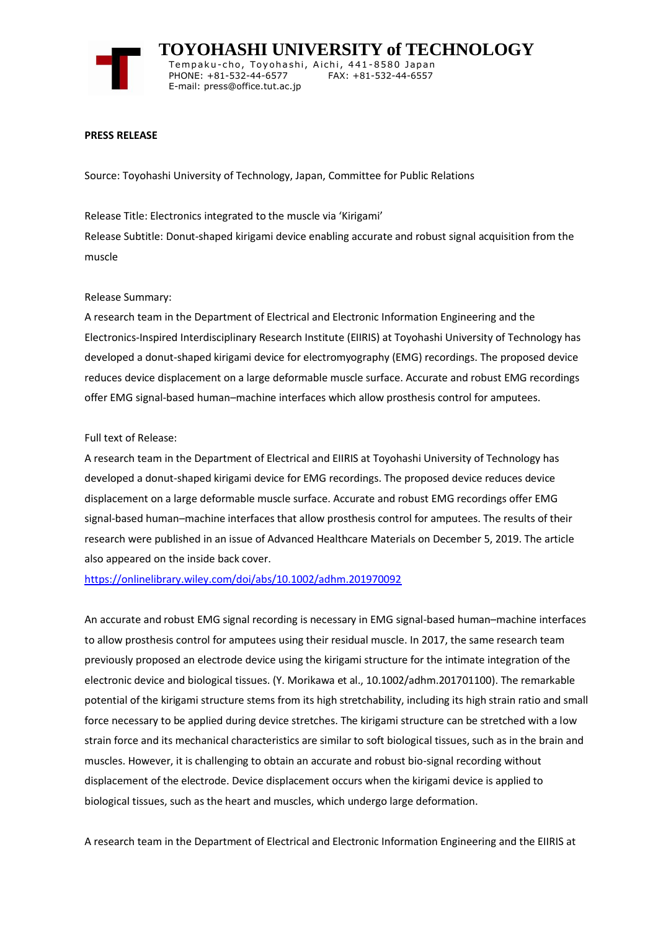

 **TOYOHASHI UNIVERSITY of TECHNOLOGY** Tempaku-cho, Toyohashi, Aichi, 441-8580 Japan<br>PHONE: +81-532-44-6577 FAX: +81-532-44-6557 PHONE: +81-532-44-6577 E-mail: press@office.tut.ac.jp

### **PRESS RELEASE**

Source: Toyohashi University of Technology, Japan, Committee for Public Relations

Release Title: Electronics integrated to the muscle via 'Kirigami' Release Subtitle: Donut-shaped kirigami device enabling accurate and robust signal acquisition from the muscle

## Release Summary:

A research team in the Department of Electrical and Electronic Information Engineering and the Electronics-Inspired Interdisciplinary Research Institute (EIIRIS) at Toyohashi University of Technology has developed a donut-shaped kirigami device for electromyography (EMG) recordings. The proposed device reduces device displacement on a large deformable muscle surface. Accurate and robust EMG recordings offer EMG signal-based human–machine interfaces which allow prosthesis control for amputees.

## Full text of Release:

A research team in the Department of Electrical and EIIRIS at Toyohashi University of Technology has developed a donut-shaped kirigami device for EMG recordings. The proposed device reduces device displacement on a large deformable muscle surface. Accurate and robust EMG recordings offer EMG signal-based human–machine interfaces that allow prosthesis control for amputees. The results of their research were published in an issue of Advanced Healthcare Materials on December 5, 2019. The article also appeared on the inside back cover.

<https://onlinelibrary.wiley.com/doi/abs/10.1002/adhm.201970092>

An accurate and robust EMG signal recording is necessary in EMG signal-based human–machine interfaces to allow prosthesis control for amputees using their residual muscle. In 2017, the same research team previously proposed an electrode device using the kirigami structure for the intimate integration of the electronic device and biological tissues. (Y. Morikawa et al., 10.1002/adhm.201701100). The remarkable potential of the kirigami structure stems from its high stretchability, including its high strain ratio and small force necessary to be applied during device stretches. The kirigami structure can be stretched with a low strain force and its mechanical characteristics are similar to soft biological tissues, such as in the brain and muscles. However, it is challenging to obtain an accurate and robust bio-signal recording without displacement of the electrode. Device displacement occurs when the kirigami device is applied to biological tissues, such as the heart and muscles, which undergo large deformation.

A research team in the Department of Electrical and Electronic Information Engineering and the EIIRIS at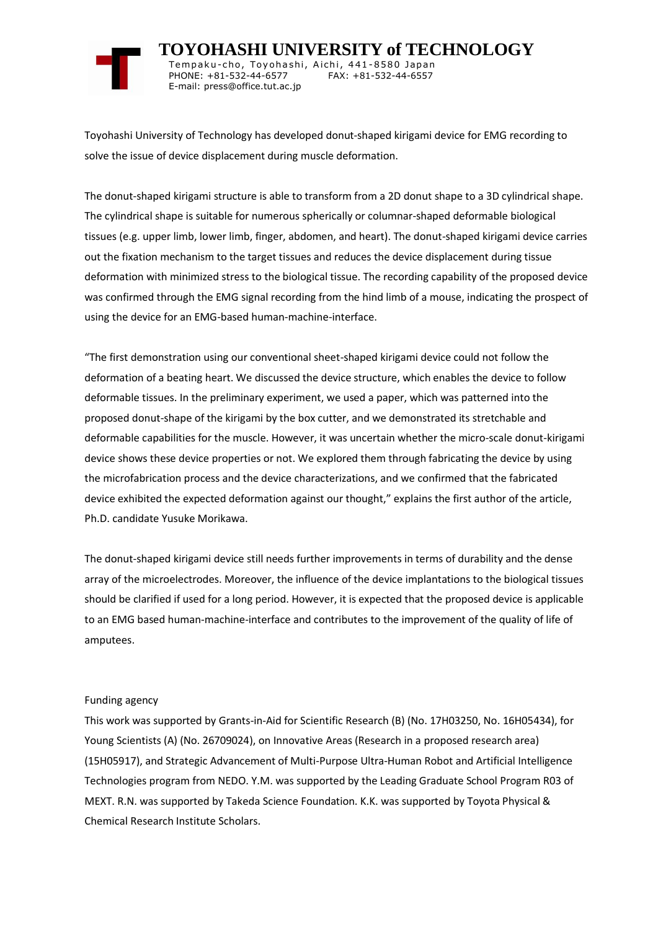

 **TOYOHASHI UNIVERSITY of TECHNOLOGY** Tempaku-cho, Toyohashi, Aichi, 441-8580 Japan<br>PHONE: +81-532-44-6577 FAX: +81-532-44-6557 PHONE: +81-532-44-6577 E-mail: press@office.tut.ac.jp

Toyohashi University of Technology has developed donut-shaped kirigami device for EMG recording to solve the issue of device displacement during muscle deformation.

The donut-shaped kirigami structure is able to transform from a 2D donut shape to a 3D cylindrical shape. The cylindrical shape is suitable for numerous spherically or columnar-shaped deformable biological tissues (e.g. upper limb, lower limb, finger, abdomen, and heart). The donut-shaped kirigami device carries out the fixation mechanism to the target tissues and reduces the device displacement during tissue deformation with minimized stress to the biological tissue. The recording capability of the proposed device was confirmed through the EMG signal recording from the hind limb of a mouse, indicating the prospect of using the device for an EMG-based human-machine-interface.

"The first demonstration using our conventional sheet-shaped kirigami device could not follow the deformation of a beating heart. We discussed the device structure, which enables the device to follow deformable tissues. In the preliminary experiment, we used a paper, which was patterned into the proposed donut-shape of the kirigami by the box cutter, and we demonstrated its stretchable and deformable capabilities for the muscle. However, it was uncertain whether the micro-scale donut-kirigami device shows these device properties or not. We explored them through fabricating the device by using the microfabrication process and the device characterizations, and we confirmed that the fabricated device exhibited the expected deformation against our thought," explains the first author of the article, Ph.D. candidate Yusuke Morikawa.

The donut-shaped kirigami device still needs further improvements in terms of durability and the dense array of the microelectrodes. Moreover, the influence of the device implantations to the biological tissues should be clarified if used for a long period. However, it is expected that the proposed device is applicable to an EMG based human-machine-interface and contributes to the improvement of the quality of life of amputees.

## Funding agency

This work was supported by Grants-in-Aid for Scientific Research (B) (No. 17H03250, No. 16H05434), for Young Scientists (A) (No. 26709024), on Innovative Areas (Research in a proposed research area) (15H05917), and Strategic Advancement of Multi-Purpose Ultra-Human Robot and Artificial Intelligence Technologies program from NEDO. Y.M. was supported by the Leading Graduate School Program R03 of MEXT. R.N. was supported by Takeda Science Foundation. K.K. was supported by Toyota Physical & Chemical Research Institute Scholars.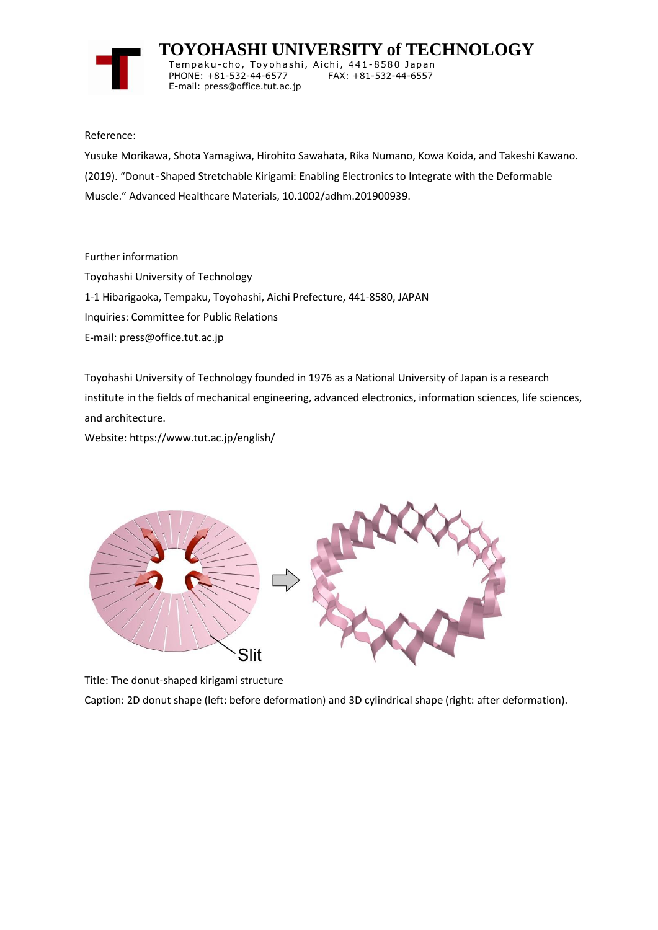

 **TOYOHASHI UNIVERSITY of TECHNOLOGY** Temp a k u-c h o , To y oh a shi , A i ch i , 4 41-858 0 Ja p an PHONE: +81-532-44-6577

# Reference:

Yusuke Morikawa, Shota Yamagiwa, Hirohito Sawahata, Rika Numano, Kowa Koida, and Takeshi Kawano. (2019). "Donut‐Shaped Stretchable Kirigami: Enabling Electronics to Integrate with the Deformable Muscle." Advanced Healthcare Materials, 10.1002/adhm.201900939.

Further information

Toyohashi University of Technology 1-1 Hibarigaoka, Tempaku, Toyohashi, Aichi Prefecture, 441-8580, JAPAN

E-mail: press@office.tut.ac.jp

Inquiries: Committee for Public Relations

E-mail: press@office.tut.ac.jp

Toyohashi University of Technology founded in 1976 as a National University of Japan is a research institute in the fields of mechanical engineering, advanced electronics, information sciences, life sciences, and architecture.

Website: https://www.tut.ac.jp/english/



Title: The donut-shaped kirigami structure

Caption: 2D donut shape (left: before deformation) and 3D cylindrical shape (right: after deformation).